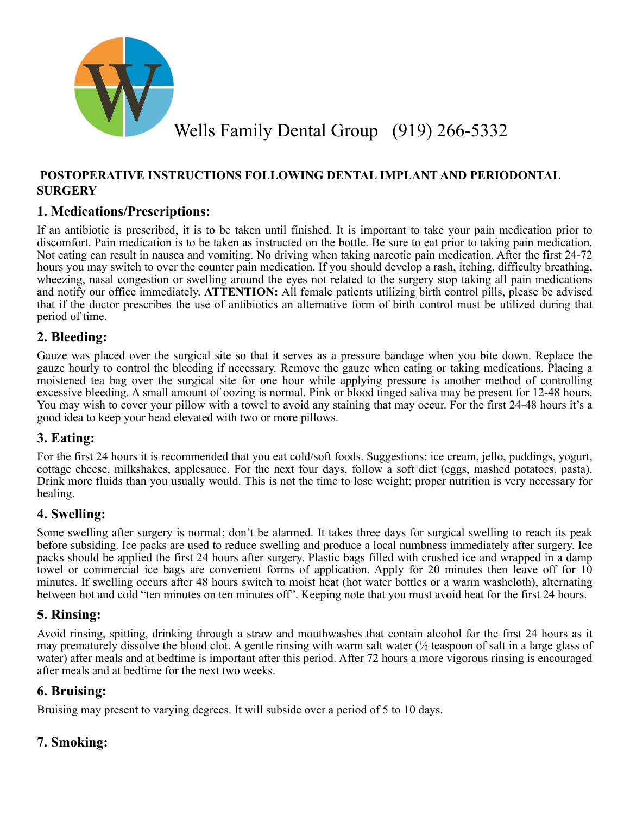

## **POSTOPERATIVE INSTRUCTIONS FOLLOWING DENTAL IMPLANT AND PERIODONTAL SURGERY**

# **1. Medications/Prescriptions:**

If an antibiotic is prescribed, it is to be taken until finished. It is important to take your pain medication prior to discomfort. Pain medication is to be taken as instructed on the bottle. Be sure to eat prior to taking pain medication. Not eating can result in nausea and vomiting. No driving when taking narcotic pain medication. After the first 24-72 hours you may switch to over the counter pain medication. If you should develop a rash, itching, difficulty breathing, wheezing, nasal congestion or swelling around the eyes not related to the surgery stop taking all pain medications and notify our office immediately. **ATTENTION:** All female patients utilizing birth control pills, please be advised that if the doctor prescribes the use of antibiotics an alternative form of birth control must be utilized during that period of time.

## **2. Bleeding:**

Gauze was placed over the surgical site so that it serves as a pressure bandage when you bite down. Replace the gauze hourly to control the bleeding if necessary. Remove the gauze when eating or taking medications. Placing a moistened tea bag over the surgical site for one hour while applying pressure is another method of controlling excessive bleeding. A small amount of oozing is normal. Pink or blood tinged saliva may be present for 12-48 hours. You may wish to cover your pillow with a towel to avoid any staining that may occur. For the first 24-48 hours it's a good idea to keep your head elevated with two or more pillows.

## **3. Eating:**

For the first 24 hours it is recommended that you eat cold/soft foods. Suggestions: ice cream, jello, puddings, yogurt, cottage cheese, milkshakes, applesauce. For the next four days, follow a soft diet (eggs, mashed potatoes, pasta). Drink more fluids than you usually would. This is not the time to lose weight; proper nutrition is very necessary for healing.

## **4. Swelling:**

Some swelling after surgery is normal; don't be alarmed. It takes three days for surgical swelling to reach its peak before subsiding. Ice packs are used to reduce swelling and produce a local numbness immediately after surgery. Ice packs should be applied the first 24 hours after surgery. Plastic bags filled with crushed ice and wrapped in a damp towel or commercial ice bags are convenient forms of application. Apply for 20 minutes then leave off for 10 minutes. If swelling occurs after 48 hours switch to moist heat (hot water bottles or a warm washcloth), alternating between hot and cold "ten minutes on ten minutes off". Keeping note that you must avoid heat for the first 24 hours.

#### **5. Rinsing:**

Avoid rinsing, spitting, drinking through a straw and mouthwashes that contain alcohol for the first 24 hours as it may prematurely dissolve the blood clot. A gentle rinsing with warm salt water  $\frac{1}{2}$  teaspoon of salt in a large glass of water) after meals and at bedtime is important after this period. After 72 hours a more vigorous rinsing is encouraged after meals and at bedtime for the next two weeks.

#### **6. Bruising:**

Bruising may present to varying degrees. It will subside over a period of 5 to 10 days.

## **7. Smoking:**